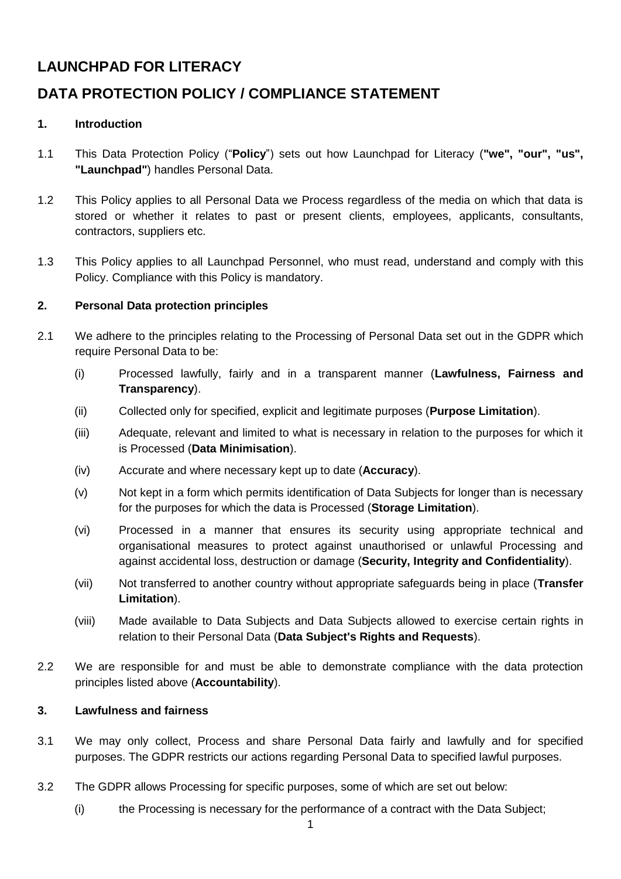# **LAUNCHPAD FOR LITERACY**

# **DATA PROTECTION POLICY / COMPLIANCE STATEMENT**

# **1. Introduction**

- 1.1 This Data Protection Policy ("**Policy**") sets out how Launchpad for Literacy (**"we", "our", "us", "Launchpad"**) handles Personal Data.
- 1.2 This Policy applies to all Personal Data we Process regardless of the media on which that data is stored or whether it relates to past or present clients, employees, applicants, consultants, contractors, suppliers etc.
- 1.3 This Policy applies to all Launchpad Personnel, who must read, understand and comply with this Policy. Compliance with this Policy is mandatory.

# **2. Personal Data protection principles**

- 2.1 We adhere to the principles relating to the Processing of Personal Data set out in the GDPR which require Personal Data to be:
	- (i) Processed lawfully, fairly and in a transparent manner (**Lawfulness, Fairness and Transparency**).
	- (ii) Collected only for specified, explicit and legitimate purposes (**Purpose Limitation**).
	- (iii) Adequate, relevant and limited to what is necessary in relation to the purposes for which it is Processed (**Data Minimisation**).
	- (iv) Accurate and where necessary kept up to date (**Accuracy**).
	- (v) Not kept in a form which permits identification of Data Subjects for longer than is necessary for the purposes for which the data is Processed (**Storage Limitation**).
	- (vi) Processed in a manner that ensures its security using appropriate technical and organisational measures to protect against unauthorised or unlawful Processing and against accidental loss, destruction or damage (**Security, Integrity and Confidentiality**).
	- (vii) Not transferred to another country without appropriate safeguards being in place (**Transfer Limitation**).
	- (viii) Made available to Data Subjects and Data Subjects allowed to exercise certain rights in relation to their Personal Data (**Data Subject's Rights and Requests**).
- 2.2 We are responsible for and must be able to demonstrate compliance with the data protection principles listed above (**Accountability**).

# **3. Lawfulness and fairness**

- 3.1 We may only collect, Process and share Personal Data fairly and lawfully and for specified purposes. The GDPR restricts our actions regarding Personal Data to specified lawful purposes.
- 3.2 The GDPR allows Processing for specific purposes, some of which are set out below:
	- (i) the Processing is necessary for the performance of a contract with the Data Subject;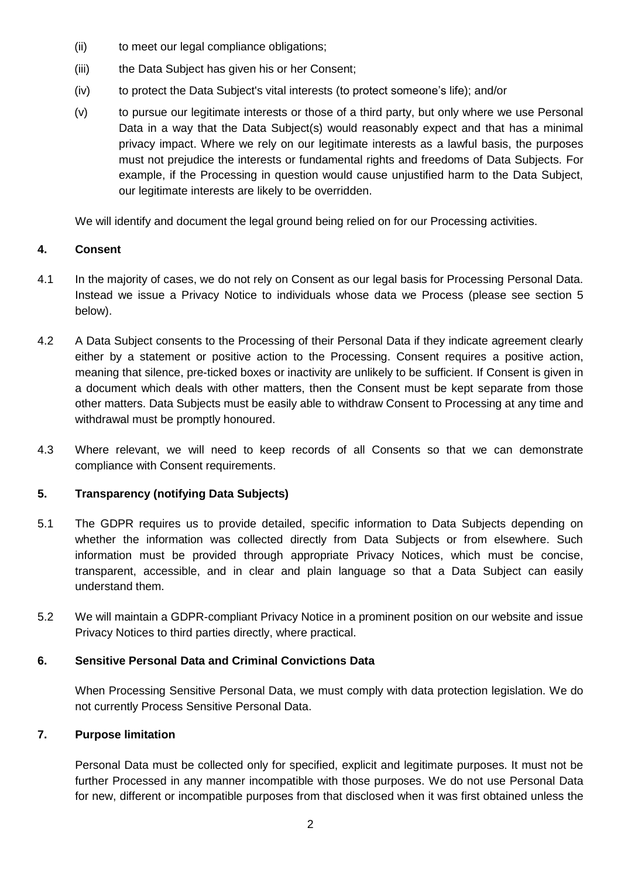- (ii) to meet our legal compliance obligations;
- (iii) the Data Subject has given his or her Consent;
- (iv) to protect the Data Subject's vital interests (to protect someone's life); and/or
- (v) to pursue our legitimate interests or those of a third party, but only where we use Personal Data in a way that the Data Subject(s) would reasonably expect and that has a minimal privacy impact. Where we rely on our legitimate interests as a lawful basis, the purposes must not prejudice the interests or fundamental rights and freedoms of Data Subjects. For example, if the Processing in question would cause unjustified harm to the Data Subject, our legitimate interests are likely to be overridden.

We will identify and document the legal ground being relied on for our Processing activities.

# **4. Consent**

- 4.1 In the majority of cases, we do not rely on Consent as our legal basis for Processing Personal Data. Instead we issue a Privacy Notice to individuals whose data we Process (please see section 5 below).
- 4.2 A Data Subject consents to the Processing of their Personal Data if they indicate agreement clearly either by a statement or positive action to the Processing. Consent requires a positive action, meaning that silence, pre-ticked boxes or inactivity are unlikely to be sufficient. If Consent is given in a document which deals with other matters, then the Consent must be kept separate from those other matters. Data Subjects must be easily able to withdraw Consent to Processing at any time and withdrawal must be promptly honoured.
- 4.3 Where relevant, we will need to keep records of all Consents so that we can demonstrate compliance with Consent requirements.

# **5. Transparency (notifying Data Subjects)**

- 5.1 The GDPR requires us to provide detailed, specific information to Data Subjects depending on whether the information was collected directly from Data Subjects or from elsewhere. Such information must be provided through appropriate Privacy Notices, which must be concise, transparent, accessible, and in clear and plain language so that a Data Subject can easily understand them.
- 5.2 We will maintain a GDPR-compliant Privacy Notice in a prominent position on our website and issue Privacy Notices to third parties directly, where practical.

# **6. Sensitive Personal Data and Criminal Convictions Data**

When Processing Sensitive Personal Data, we must comply with data protection legislation. We do not currently Process Sensitive Personal Data.

# **7. Purpose limitation**

Personal Data must be collected only for specified, explicit and legitimate purposes. It must not be further Processed in any manner incompatible with those purposes. We do not use Personal Data for new, different or incompatible purposes from that disclosed when it was first obtained unless the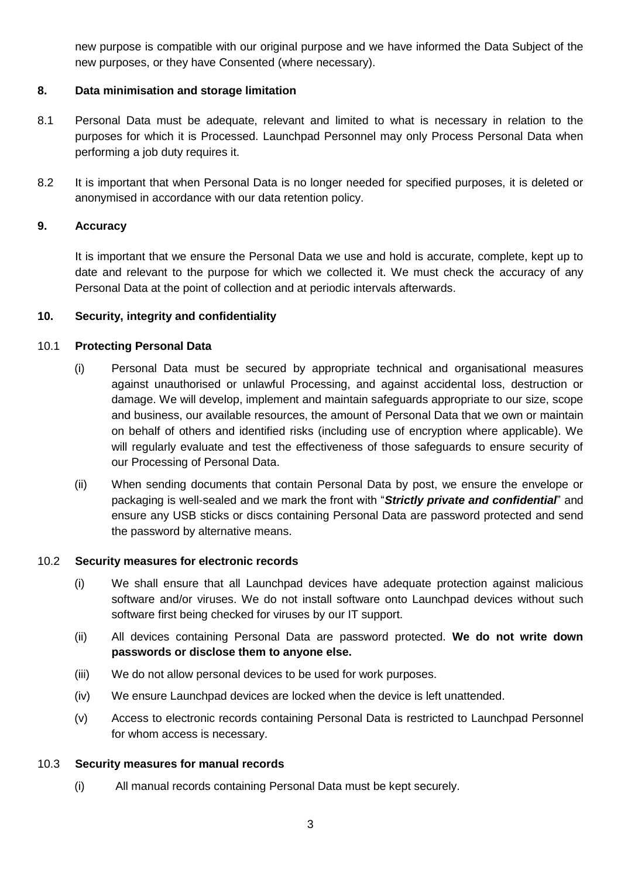new purpose is compatible with our original purpose and we have informed the Data Subject of the new purposes, or they have Consented (where necessary).

## **8. Data minimisation and storage limitation**

- 8.1 Personal Data must be adequate, relevant and limited to what is necessary in relation to the purposes for which it is Processed. Launchpad Personnel may only Process Personal Data when performing a job duty requires it.
- 8.2 It is important that when Personal Data is no longer needed for specified purposes, it is deleted or anonymised in accordance with our data retention policy.

### **9. Accuracy**

It is important that we ensure the Personal Data we use and hold is accurate, complete, kept up to date and relevant to the purpose for which we collected it. We must check the accuracy of any Personal Data at the point of collection and at periodic intervals afterwards.

## **10. Security, integrity and confidentiality**

## 10.1 **Protecting Personal Data**

- (i) Personal Data must be secured by appropriate technical and organisational measures against unauthorised or unlawful Processing, and against accidental loss, destruction or damage. We will develop, implement and maintain safeguards appropriate to our size, scope and business, our available resources, the amount of Personal Data that we own or maintain on behalf of others and identified risks (including use of encryption where applicable). We will regularly evaluate and test the effectiveness of those safeguards to ensure security of our Processing of Personal Data.
- (ii) When sending documents that contain Personal Data by post, we ensure the envelope or packaging is well-sealed and we mark the front with "*Strictly private and confidential*" and ensure any USB sticks or discs containing Personal Data are password protected and send the password by alternative means.

## 10.2 **Security measures for electronic records**

- (i) We shall ensure that all Launchpad devices have adequate protection against malicious software and/or viruses. We do not install software onto Launchpad devices without such software first being checked for viruses by our IT support.
- (ii) All devices containing Personal Data are password protected. **We do not write down passwords or disclose them to anyone else.**
- (iii) We do not allow personal devices to be used for work purposes.
- (iv) We ensure Launchpad devices are locked when the device is left unattended.
- (v) Access to electronic records containing Personal Data is restricted to Launchpad Personnel for whom access is necessary.

### 10.3 **Security measures for manual records**

(i) All manual records containing Personal Data must be kept securely.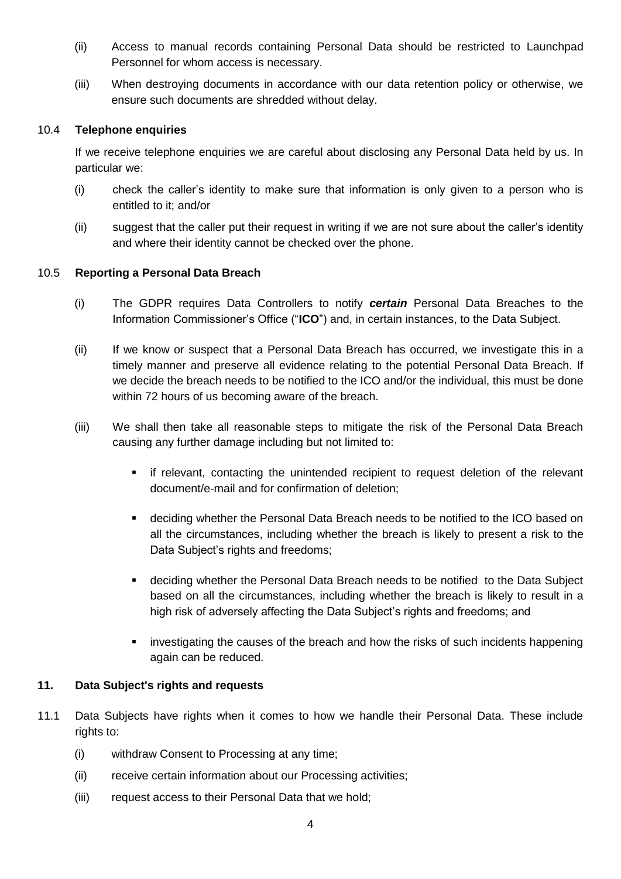- (ii) Access to manual records containing Personal Data should be restricted to Launchpad Personnel for whom access is necessary.
- (iii) When destroying documents in accordance with our data retention policy or otherwise, we ensure such documents are shredded without delay.

## 10.4 **Telephone enquiries**

If we receive telephone enquiries we are careful about disclosing any Personal Data held by us. In particular we:

- (i) check the caller's identity to make sure that information is only given to a person who is entitled to it; and/or
- (ii) suggest that the caller put their request in writing if we are not sure about the caller's identity and where their identity cannot be checked over the phone.

## 10.5 **Reporting a Personal Data Breach**

- (i) The GDPR requires Data Controllers to notify *certain* Personal Data Breaches to the Information Commissioner's Office ("**ICO**") and, in certain instances, to the Data Subject.
- (ii) If we know or suspect that a Personal Data Breach has occurred, we investigate this in a timely manner and preserve all evidence relating to the potential Personal Data Breach. If we decide the breach needs to be notified to the ICO and/or the individual, this must be done within 72 hours of us becoming aware of the breach.
- (iii) We shall then take all reasonable steps to mitigate the risk of the Personal Data Breach causing any further damage including but not limited to:
	- **EXT** if relevant, contacting the unintended recipient to request deletion of the relevant document/e-mail and for confirmation of deletion;
	- deciding whether the Personal Data Breach needs to be notified to the ICO based on all the circumstances, including whether the breach is likely to present a risk to the Data Subject's rights and freedoms;
	- deciding whether the Personal Data Breach needs to be notified to the Data Subject based on all the circumstances, including whether the breach is likely to result in a high risk of adversely affecting the Data Subiect's rights and freedoms; and
	- investigating the causes of the breach and how the risks of such incidents happening again can be reduced.

### **11. Data Subject's rights and requests**

- 11.1 Data Subjects have rights when it comes to how we handle their Personal Data. These include rights to:
	- (i) withdraw Consent to Processing at any time;
	- (ii) receive certain information about our Processing activities;
	- (iii) request access to their Personal Data that we hold;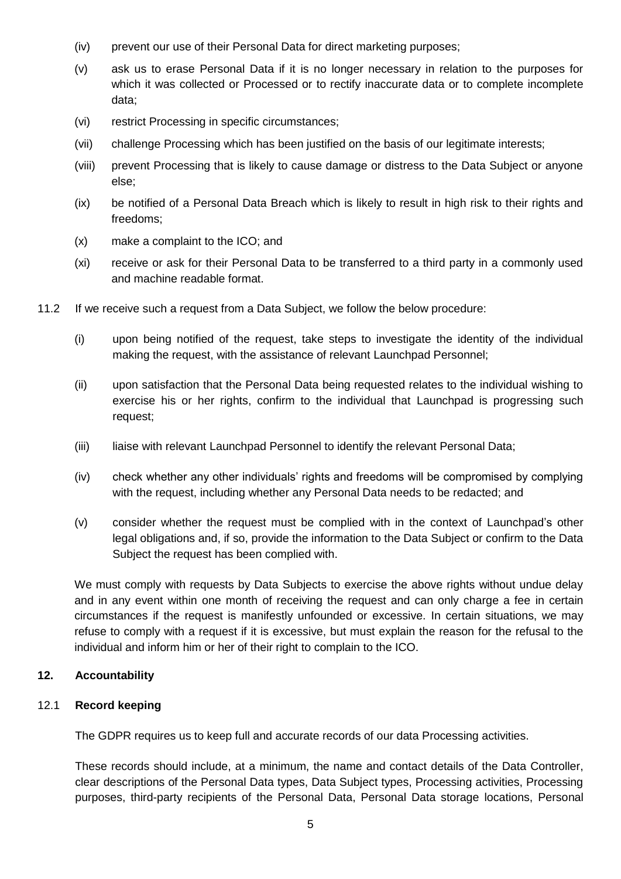- (iv) prevent our use of their Personal Data for direct marketing purposes;
- (v) ask us to erase Personal Data if it is no longer necessary in relation to the purposes for which it was collected or Processed or to rectify inaccurate data or to complete incomplete data;
- (vi) restrict Processing in specific circumstances;
- (vii) challenge Processing which has been justified on the basis of our legitimate interests;
- (viii) prevent Processing that is likely to cause damage or distress to the Data Subject or anyone else;
- (ix) be notified of a Personal Data Breach which is likely to result in high risk to their rights and freedoms;
- (x) make a complaint to the ICO; and
- (xi) receive or ask for their Personal Data to be transferred to a third party in a commonly used and machine readable format.
- 11.2 If we receive such a request from a Data Subject, we follow the below procedure:
	- (i) upon being notified of the request, take steps to investigate the identity of the individual making the request, with the assistance of relevant Launchpad Personnel;
	- (ii) upon satisfaction that the Personal Data being requested relates to the individual wishing to exercise his or her rights, confirm to the individual that Launchpad is progressing such request;
	- (iii) liaise with relevant Launchpad Personnel to identify the relevant Personal Data;
	- (iv) check whether any other individuals' rights and freedoms will be compromised by complying with the request, including whether any Personal Data needs to be redacted; and
	- (v) consider whether the request must be complied with in the context of Launchpad's other legal obligations and, if so, provide the information to the Data Subject or confirm to the Data Subject the request has been complied with.

We must comply with requests by Data Subjects to exercise the above rights without undue delay and in any event within one month of receiving the request and can only charge a fee in certain circumstances if the request is manifestly unfounded or excessive. In certain situations, we may refuse to comply with a request if it is excessive, but must explain the reason for the refusal to the individual and inform him or her of their right to complain to the ICO.

# **12. Accountability**

### 12.1 **Record keeping**

The GDPR requires us to keep full and accurate records of our data Processing activities.

These records should include, at a minimum, the name and contact details of the Data Controller, clear descriptions of the Personal Data types, Data Subject types, Processing activities, Processing purposes, third-party recipients of the Personal Data, Personal Data storage locations, Personal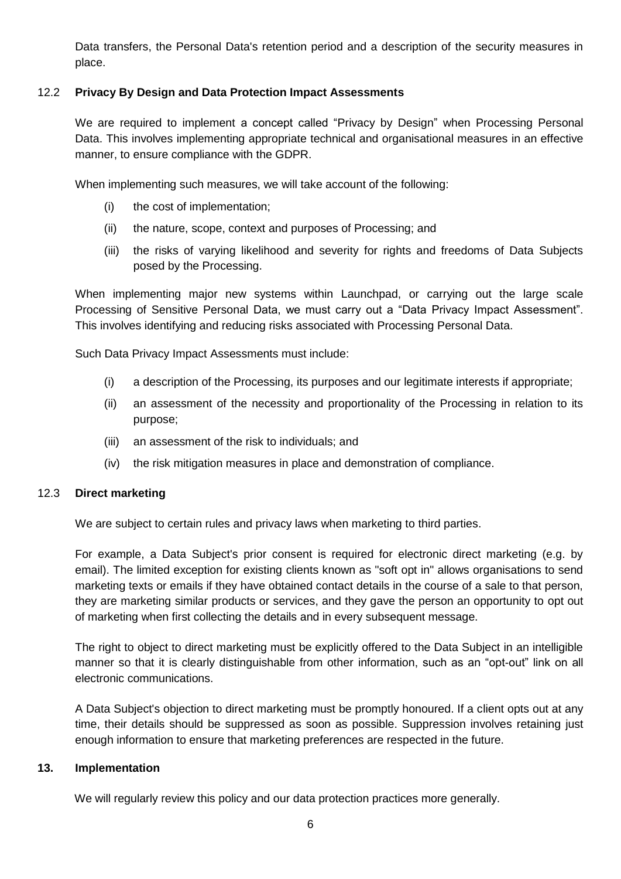Data transfers, the Personal Data's retention period and a description of the security measures in place.

# 12.2 **Privacy By Design and Data Protection Impact Assessments**

We are required to implement a concept called "Privacy by Design" when Processing Personal Data. This involves implementing appropriate technical and organisational measures in an effective manner, to ensure compliance with the GDPR.

When implementing such measures, we will take account of the following:

- (i) the cost of implementation;
- (ii) the nature, scope, context and purposes of Processing; and
- (iii) the risks of varying likelihood and severity for rights and freedoms of Data Subjects posed by the Processing.

When implementing major new systems within Launchpad, or carrying out the large scale Processing of Sensitive Personal Data, we must carry out a "Data Privacy Impact Assessment". This involves identifying and reducing risks associated with Processing Personal Data.

Such Data Privacy Impact Assessments must include:

- (i) a description of the Processing, its purposes and our legitimate interests if appropriate;
- (ii) an assessment of the necessity and proportionality of the Processing in relation to its purpose;
- (iii) an assessment of the risk to individuals; and
- (iv) the risk mitigation measures in place and demonstration of compliance.

### 12.3 **Direct marketing**

We are subject to certain rules and privacy laws when marketing to third parties.

For example, a Data Subject's prior consent is required for electronic direct marketing (e.g. by email). The limited exception for existing clients known as "soft opt in" allows organisations to send marketing texts or emails if they have obtained contact details in the course of a sale to that person, they are marketing similar products or services, and they gave the person an opportunity to opt out of marketing when first collecting the details and in every subsequent message.

The right to object to direct marketing must be explicitly offered to the Data Subject in an intelligible manner so that it is clearly distinguishable from other information, such as an "opt-out" link on all electronic communications.

A Data Subject's objection to direct marketing must be promptly honoured. If a client opts out at any time, their details should be suppressed as soon as possible. Suppression involves retaining just enough information to ensure that marketing preferences are respected in the future.

#### **13. Implementation**

We will regularly review this policy and our data protection practices more generally.